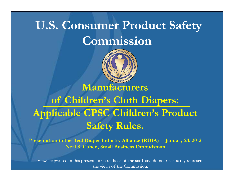## **U.S. Consumer Product Safety Commission**



#### **Manufacturers**

### **of Children s' Cloth Diapers: Applicable CPSC Children's Product Safet R les Safety Rules.**

**Presentation to the Real Diaper Industry Alliance (RDIA) January 24, 2012 Neal S Cohen Small Business Ombudsman S. Cohen,** 

Views expressed in this presentation are those of the staff and do not necessarily represent the views of the Commission.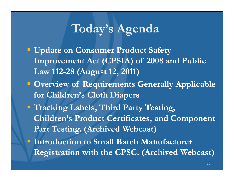### $\bf {Today's \textit{A}genda}$

- **Update on Consumer Product Safety Improvement Act (CPSIA) of 2008 and Public Law 112 112-28 (August 12, 2011) 28 (August**
- **Overview of Requirements Generally Applicable for Children's Cloth Diapers**
- **Tracking Labels, Third Party Testing, Children's Product Certificates, and Component Part Testing. (Archived Webcast)**
- **Introduction to Small Batch Manufacturer Registration with the CPSC. (Archived Webcast)**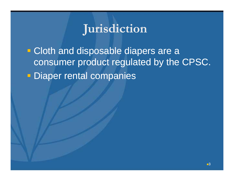#### **Jurisdiction J**

**• Cloth and disposable diapers are a** consumer product regulated by the CPSC. **- Diaper rental companies**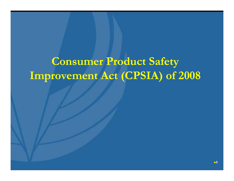## **Consumer Product Safety Improvement Act (CPSIA) of 2008**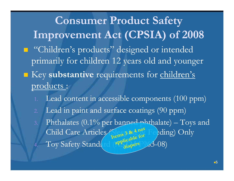**Consumer Product Safety Impro ement Act (CPSIA) of 2008 Impro vement (CPSIA)**  $\blacksquare$  "Children's products" designed or intended primarily for children 12 years old and younger **EXECUE IS NOTE IN SUBSTANTIVE TEQUITEMENTS** for children's products :

- 1. Lead content in accessible components (100 ppm)
- 2. Lead in paint and surface coatings (90 ppm)
- 3. Phthalates (0.1% per banned phthalate) Toys and Child Care Articles (Sleep & Angt Feeding) Only 4. Toy Safety Standard (  $\left( \frac{\text{app}}{\text{diapers}} \right)$  (3-08)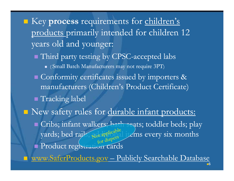Key **process** requirements for children's products primarily intended for children <sup>12</sup> years old and younger:

 $\blacksquare$  Third party testing by CPSC-accepted labs  $\textcolor{red}{\bullet}$  ( Small Batch Manufacturers may not require 3PT)  $\blacksquare$  Conformity certificates issued by importers & manufacturers (Children's Product Certificate) Tracking label New safety rules for durable infant products:

**C**ribs; infant walkers; bath seats; toddler beds; play yards; bed rails, Rotapplicable items every six months **Product registration cards** 

www.SaferProducts.gov – Publicly Searchable Database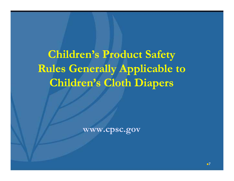**Children <sup>s</sup> s' Product Safety Rules Generally Applicable to Child ' Cl h Di Children's Cloth Diapers**

**www.cpsc.gov**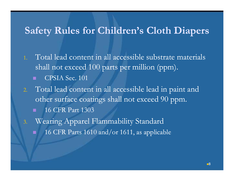#### **Safety Rules for Children <sup>s</sup> s' Cloth Diapers**

- 1. Total lead content in all accessible substrate materials shall not exceed 100 parts per million (ppm). CPSIA Sec. 101
- 2. Total lead content in all accessible lead in paint and other surface coatin gs shall not exceed 90 pp m. 16 CFR Part 1303
- 3. Wearing Apparel Flammability Standard 16 CFR Parts 1610 and/or 1611, as applicable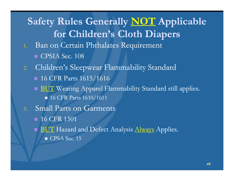#### **Safety Rules Generally NOT Applicable for Children's Cloth Diapers Cloth**

- 1. Ban on Certain Phthalates Requirement  $\blacksquare$  CPSIA Sec. 108
- 2. Children's Sleepwear Flammability Standard
	- $\blacksquare$  16 CFR Parts 1615/1616
	- $\blacksquare$   $\boxdot$  Wearing Apparel Flammability Standard still applies. **16 CFR Parts 1610/1611**
- 3. Small Parts on Garments
	- $\blacksquare$  16 CFR 1501
	- BUT Hazard and Defect Analysis <u>Always</u> Applies.
		- $\blacksquare$  CPSA Sec. 15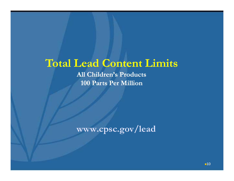#### **Total Lead Content Limits**

**All Children's Products 100 Parts Per Million**

**www.cpsc.gov/lead**

 $-10$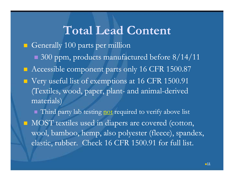#### **Total Lead Content**

Generally 100 parts per million

- $\blacksquare$  300 ppm, products manufactured before 8/14/11
- Accessible component parts only 16 CFR 1500.87
- $\blacksquare$  Very useful list of exemptions at 16 CFR 1500.91 (Textiles, wood, paper, plant- and animal-derived materials)

■ Third party lab testing not required to verify above list  $\blacksquare$  MOST textiles used in diapers are covered (cotton, wool, bamboo, hemp, also polyester (fleece), spandex, elastic, rubber. Check 16 CFR 1500.91 for full list.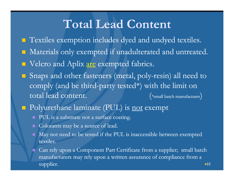### **Total Lead Content**

- **Textiles exemption includes dyed and undyed textiles.**
- **E** Materials only exempted if unadulterated and untreated.
- Velcro and Aplix <u>are</u> exempted fabrics.
- $\blacksquare$  Snaps and other fasteners (metal, poly-resin) all need to comply (and be third-party tested\*) with the limit on total lead content. (\*small batch manufacturer)
- **Polyurethane laminate (PUL) is <u>not</u> exempt** 
	- **PUL** is a substrate not a surface coating.
	- $\blacksquare$  Colorants may be a source of lead.
	- $\blacksquare$  May not need to be tested if the PUL is inaccessible between exempted textiles.
	- Can rely upon a Component Part Certificate from a supplier; small batch manufacturers may rely upon a written assurance of compliance from a supplier.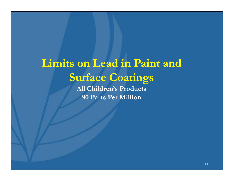## **Limits on Lead in Paint and Surface Coatings**

**All Children's Products 90 Parts Per Million**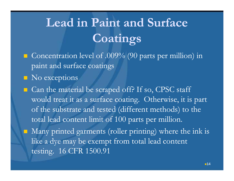# **Lead in Paint and Surface Coatings**

- $\blacksquare$  Concentration level of .009% (90 parts per million) in paint and surface coatings
- No exceptions
- Can the material be scraped off? If so, CPSC staff would treat it as a surface coating. Otherwise, it is part of the substrate and tested (different methods) to the total lead content limit of 100 parts per million.

 Many printed garments (roller printing) where the ink is like a dye may be exempt from total lead content testing. 16 CFR 1500.91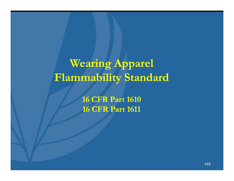## Wearing Apparel **Flammability Standard**

**16 CFR Part 1610 1610 16 CFR Part 1611**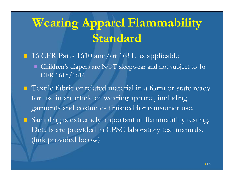# **Wearing Apparel Flammability Standard**

■ 16 CFR Parts 1610 and/or 1611, as applicable Children's diapers are NOT sleepwear and not subject to 16 CFR 1615/1616 **T** Textile fabric or related material in a form or state ready for use in an article of wearing apparel, including garments and costumes finished for consumer use. Sampling is extremely important in flammability testing. Details are provided in CPSC laboratory test manuals. (link provided below)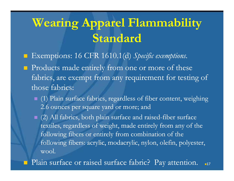# **Wearing Apparel Flammability Standard**

- Exemptions: 16 CFR 1610.1(d) Specific exemptions.
- **Products made entirely from one or more of these** fabrics, are exempt from any requirement for testing of those fabrics:
	- (1) Plain surface fabrics, regardless of fiber content, weighing 2.6 ounces per square yard or more; and
	- $\Box$  (2) All fabrics, both plain surface and raised-fiber surface textiles, regardless of weight, made entirely from any of the following fibers or entirely from combination of the following fibers: acrylic, modacrylic, nylon, olefin, polyester, wool.
- **Plain surface or raised surface fabric?** Pay attention.  $-17$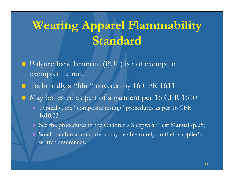# **Wearing Apparel Flammability Standard**

- **Polyurethane laminate (PUL) is <u>not</u> exempt an** exempted fabric.
- Technically a "film" covered by 16 CFR 1611
- $\blacksquare$  May be tested as part of a garment per 16 CFR 1610
	- Typically, the "composite testing" procedures as per 16 CFR 1610.33
	- $\blacksquare$  See the procedures in the Children's Sleepwear Test Manual (p.25)
	- Small batch manufacturers may be able to rely on their supplier's written assurances.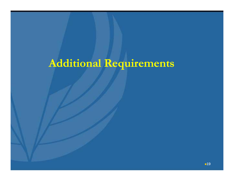## **Additional Requirements**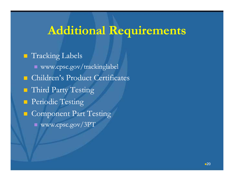### **Additional Requirements**

**Tracking Labels**  www.cpsc.gov/trackinglabel **E** Children's Product Certificates **Third Party Testing Periodic Testing Component Part Testing** ■ www.cpsc.gov/3PT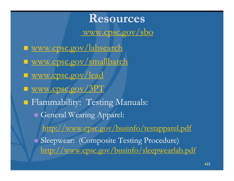#### **Resources**

www.cpsc.gov/sbo

■ www.cpsc.gov/labsearch ■ www.cpsc.gov/smallbatch ■ www.cpsc.gov/lead ■ www.cpsc.gov/3PT Flammability: Testing Manuals: General Wearing Apparel: http://www.cpsc.gov/businfo/testapparel.pdf Sleepwear: (Composite Testing Procedure) http://www.cpsc.gov/businfo/sleepwearlab.pdf